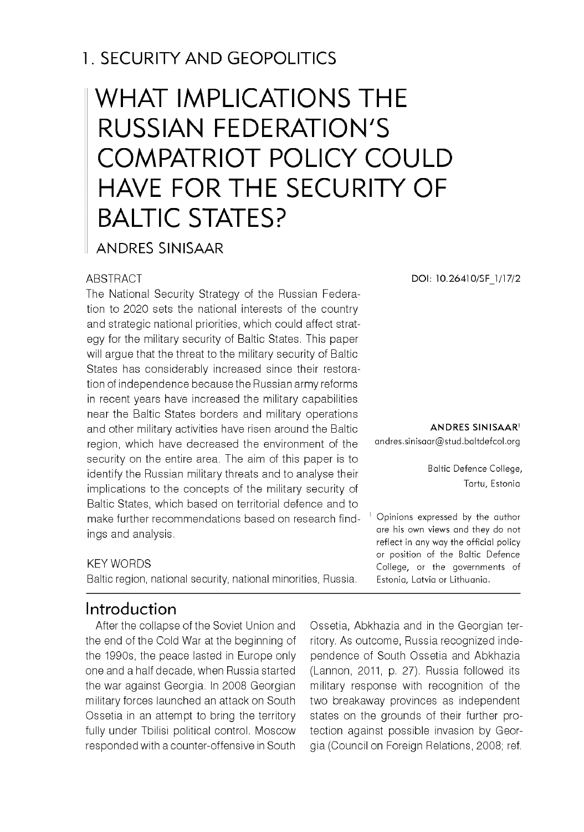# 1. SECURITY AND GEOPOLITICS

# WHAT IMPLICATIONS THE RUSSIAN FEDERATION'S COMPATRIOT POLICY COULD HAVE FOR THE SECURITY OF BALTIC STATES?

#### ANDRES SINISAAR

#### **ABSTRACT**

The National Security Strategy of the Russian Federation to 2020 sets the national interests of the country and strategic national priorities, which could affect strategy for the military security of Baltic States. This paper will argue that the threat to the military security of Baltic States has considerably increased since their restoration of independence because the Russian army reforms in recent years have increased the military capabilities near the Baltic States borders and military operations and other military activities have risen around the Baltic region, which have decreased the environment of the security on the entire area. The aim of this paper is to identify the Russian military threats and to analyse their implications to the concepts of the military security of Baltic States, which based on territorial defence and to make further recommendations based on research findings and analysis.

#### KEY WORDS

Baltic region, national security, national minorities, Russia.

### Introduction

After the collapse of the Soviet Union and the end of the Cold War at the beginning of the 1990s, the peace lasted in Europe only one and a half decade, when Russia started the war against Georgia. In 2008 Georgian military forces launched an attack on South Ossetia in an attempt to bring the territory fully under Tbilisi political control. Moscow responded with a counter-offensive in South

**DOI: 10.26410/SF\_1/17/2**

**ANDRES SINISAAR1**

andres.sinisaar@stud.baltdefcol.org

Baltic Defence College, Tartu, Estonia

<sup>1</sup> Opinions expressed by the author are his own views and they do not reflect in any way the official policy or position of the Baltic Defence College, or the governments of Estonia, Latvia or Lithuania.

Ossetia, Abkhazia and in the Georgian territory. As outcome, Russia recognized independence of South Ossetia and Abkhazia (Lannon, 2011, p. 27). Russia followed its military response with recognition of the two breakaway provinces as independent states on the grounds of their further protection against possible invasion by Georgia (Council on Foreign Relations, 2008; ref.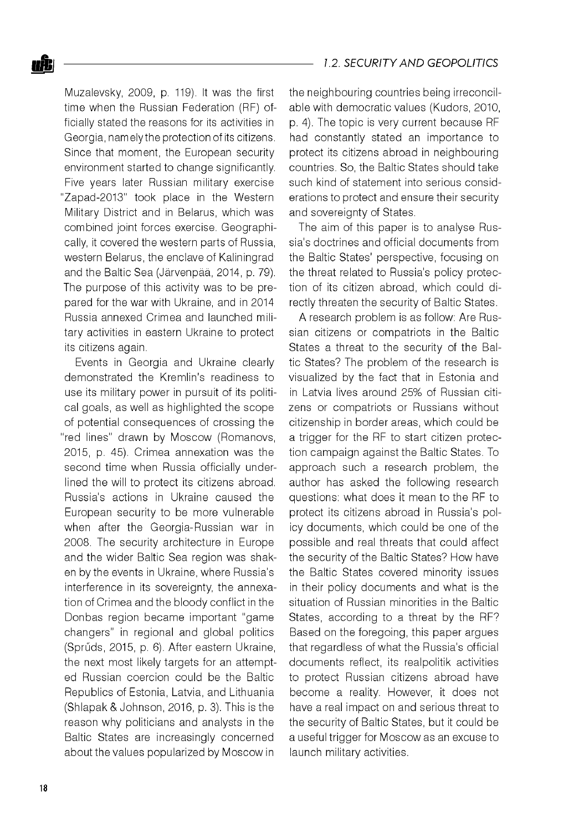

Muzalevsky, 2009, p. 119). It was the first time when the Russian Federation (RF) officially stated the reasons for its activities in Georgia, namely the protection of its citizens. Since that moment, the European security environment started to change significantly. Five years later Russian military exercise "Zapad-2013" took place in the Western Military District and in Belarus, which was combined joint forces exercise. Geographically, it covered the western parts of Russia, western Belarus, the enclave of Kaliningrad and the Baltic Sea (Järvenpää, 2014, p. 79). The purpose of this activity was to be prepared for the war with Ukraine, and in 2014 Russia annexed Crimea and launched military activities in eastern Ukraine to protect its citizens again.

Events in Georgia and Ukraine clearly demonstrated the Kremlin's readiness to use its military power in pursuit of its political goals, as well as highlighted the scope of potential consequences of crossing the "red lines" drawn by Moscow (Romanovs, 2015, p. 45). Crimea annexation was the second time when Russia officially underlined the will to protect its citizens abroad. Russia's actions in Ukraine caused the European security to be more vulnerable when after the Georgia-Russian war in 2008. The security architecture in Europe and the wider Baltic Sea region was shaken by the events in Ukraine, where Russia's interference in its sovereignty, the annexation of Crimea and the bloody conflict in the Donbas region became important "game changers" in regional and global politics (Sprúds, 2015, p. 6). After eastern Ukraine, the next most likely targets for an attempted Russian coercion could be the Baltic Republics of Estonia, Latvia, and Lithuania (Shlapak & Johnson, 2016, p. 3). This is the reason why politicians and analysts in the Baltic States are increasingly concerned about the values popularized by Moscow in

the neighbouring countries being irreconcilable with democratic values (Kudors, 2010, p. 4). The topic is very current because RF had constantly stated an importance to protect its citizens abroad in neighbouring countries. So, the Baltic States should take such kind of statement into serious considerations to protect and ensure their security and sovereignty of States.

The aim of this paper is to analyse Russia's doctrines and official documents from the Baltic States' perspective, focusing on the threat related to Russia's policy protection of its citizen abroad, which could directly threaten the security of Baltic States.

A research problem is as follow: Are Russian citizens or compatriots in the Baltic States a threat to the security of the Baltic States? The problem of the research is visualized by the fact that in Estonia and in Latvia lives around 25% of Russian citizens or compatriots or Russians without citizenship in border areas, which could be a trigger for the RF to start citizen protection campaign against the Baltic States. To approach such a research problem, the author has asked the following research questions: what does it mean to the RF to protect its citizens abroad in Russia's policy documents, which could be one of the possible and real threats that could affect the security of the Baltic States? How have the Baltic States covered minority issues in their policy documents and what is the situation of Russian minorities in the Baltic States, according to a threat by the RF? Based on the foregoing, this paper argues that regardless of what the Russia's official documents reflect, its realpolitik activities to protect Russian citizens abroad have become a reality. However, it does not have a real impact on and serious threat to the security of Baltic States, but it could be a useful trigger for Moscow as an excuse to launch military activities.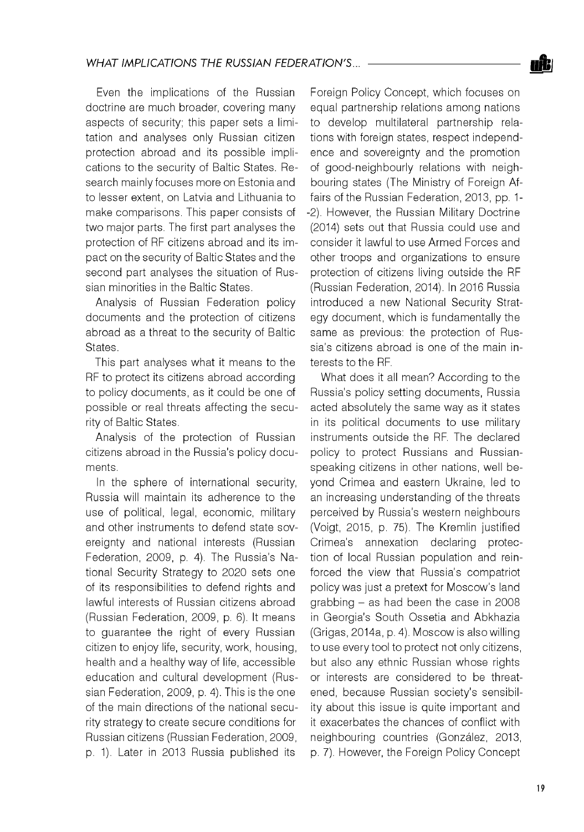Even the implications of the Russian doctrine are much broader, covering many aspects of security; this paper sets a limitation and analyses only Russian citizen protection abroad and its possible implications to the security of Baltic States. Research mainly focuses more on Estonia and to lesser extent, on Latvia and Lithuania to make comparisons. This paper consists of two major parts. The first part analyses the protection of RF citizens abroad and its impact on the security of Baltic States and the second part analyses the situation of Russian minorities in the Baltic States.

Analysis of Russian Federation policy documents and the protection of citizens abroad as a threat to the security of Baltic States.

This part analyses what it means to the RF to protect its citizens abroad according to policy documents, as it could be one of possible or real threats affecting the security of Baltic States.

Analysis of the protection of Russian citizens abroad in the Russia's policy documents.

In the sphere of international security, Russia will maintain its adherence to the use of political, legal, economic, military and other instruments to defend state sovereignty and national interests (Russian Federation, 2009, p. 4). The Russia's National Security Strategy to 2020 sets one of its responsibilities to defend rights and lawful interests of Russian citizens abroad (Russian Federation, 2009, p. 6). It means to guarantee the right of every Russian citizen to enjoy life, security, work, housing, health and a healthy way of life, accessible education and cultural development (Russian Federation, 2009, p. 4). This is the one of the main directions of the national security strategy to create secure conditions for Russian citizens (Russian Federation, 2009, p. 1). Later in 2013 Russia published its

Foreign Policy Concept, which focuses on equal partnership relations among nations to develop multilateral partnership relations with foreign states, respect independence and sovereignty and the promotion of good-neighbourly relations with neighbouring states (The Ministry of Foreign Affairs of the Russian Federation, 2013, pp. 1 -2). However, the Russian Military Doctrine (2014) sets out that Russia could use and consider it lawful to use Armed Forces and other troops and organizations to ensure protection of citizens living outside the RF (Russian Federation, 2014). In 2016 Russia introduced a new National Security Strategy document, which is fundamentally the same as previous: the protection of Russia's citizens abroad is one of the main interests to the RF.

What does it all mean? According to the Russia's policy setting documents, Russia acted absolutely the same way as it states in its political documents to use military instruments outside the RF. The declared policy to protect Russians and Russianspeaking citizens in other nations, well beyond Crimea and eastern Ukraine, led to an increasing understanding of the threats perceived by Russia's western neighbours (Voigt, 2015, p. 75). The Kremlin justified Crimea's annexation declaring protection of local Russian population and reinforced the view that Russia's compatriot policy was just a pretext for Moscow's land grabbing - as had been the case in 2008 in Georgia's South Ossetia and Abkhazia (Grigas, 2014a, p. 4). Moscow is also willing to use every tool to protect not only citizens, but also any ethnic Russian whose rights or interests are considered to be threatened, because Russian society's sensibility about this issue is quite important and it exacerbates the chances of conflict with neighbouring countries (González, 2013, p. 7). However, the Foreign Policy Concept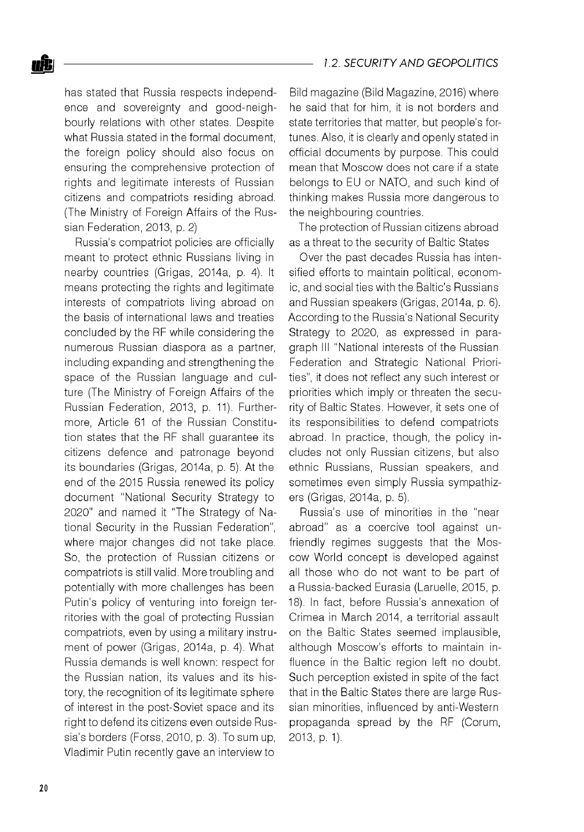

has stated that Russia respects independence and sovereignty and good-neighbourly relations with other states. Despite what Russia stated in the formal document, the foreign policy should also focus on ensuring the comprehensive protection of rights and legitimate interests of Russian citizens and compatriots residing abroad. (The Ministry of Foreign Affairs of the Russian Federation, 2013, p. 2)

Russia's compatriot policies are officially meant to protect ethnic Russians living in nearby countries (Grigas, 2014a, p. 4). It means protecting the rights and legitimate interests of compatriots living abroad on the basis of international laws and treaties concluded by the RF while considering the numerous Russian diaspora as a partner, including expanding and strengthening the space of the Russian language and culture (The Ministry of Foreign Affairs of the Russian Federation, 2013, p. 11). Furthermore, Article 61 of the Russian Constitution states that the RF shall guarantee its citizens defence and patronage beyond its boundaries (Grigas, 2014a, p. 5). At the end of the 2015 Russia renewed its policy document "National Security Strategy to 2020" and named it "The Strategy of National Security in the Russian Federation", where major changes did not take place. So, the protection of Russian citizens or compatriots is still valid. More troubling and potentially with more challenges has been Putin's policy of venturing into foreign territories with the goal of protecting Russian compatriots, even by using a military instrument of power (Grigas, 2014a, p. 4). What Russia demands is well known: respect for the Russian nation, its values and its history, the recognition of its legitimate sphere of interest in the post-Soviet space and its right to defend its citizens even outside Russia's borders (Forss, 2010, p. 3). To sum up, Vladimir Putin recently gave an interview to

Bild magazine (Bild Magazine, 2016) where he said that for him, it is not borders and state territories that matter, but people's fortunes. Also, it is clearly and openly stated in official documents by purpose. This could mean that Moscow does not care if a state belongs to EU or NATO, and such kind of thinking makes Russia more dangerous to the neighbouring countries.

The protection of Russian citizens abroad as a threat to the security of Baltic States

Over the past decades Russia has intensified efforts to maintain political, economic, and social ties with the Baltic's Russians and Russian speakers (Grigas, 2014a, p. 6). According to the Russia's National Security Strategy to 2020, as expressed in paragraph III "National interests of the Russian Federation and Strategic National Priorities", it does not reflect any such interest or priorities which imply or threaten the security of Baltic States. However, it sets one of its responsibilities to defend compatriots abroad. In practice, though, the policy includes not only Russian citizens, but also ethnic Russians, Russian speakers, and sometimes even simply Russia sympathizers (Grigas, 2014a, p. 5).

Russia's use of minorities in the "near abroad" as a coercive tool against unfriendly regimes suggests that the Moscow World concept is developed against all those who do not want to be part of a Russia-backed Eurasia (Laruelle, 2015, p. 18). In fact, before Russia's annexation of Crimea in March 2014, a territorial assault on the Baltic States seemed implausible, although Moscow's efforts to maintain influence in the Baltic region left no doubt. Such perception existed in spite of the fact that in the Baltic States there are large Russian minorities, influenced by anti-Western propaganda spread by the RF (Corum, 2013, p. 1).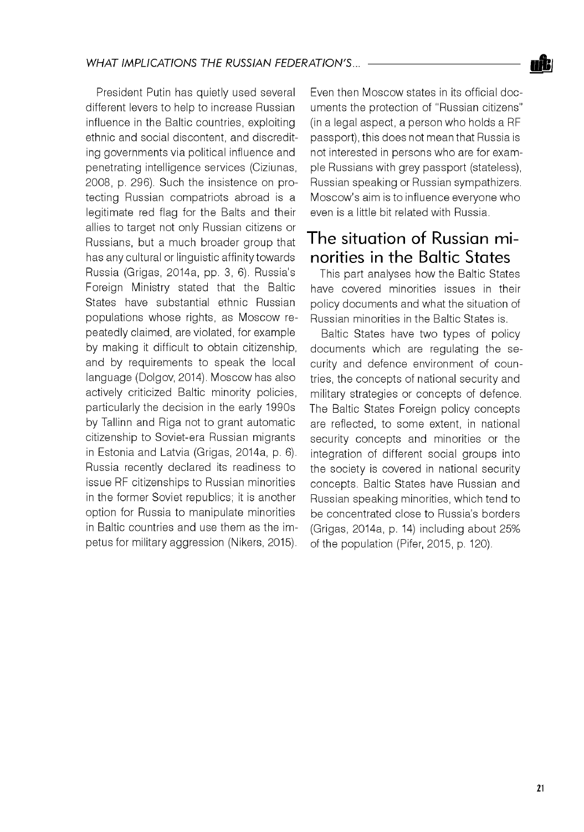President Putin has quietly used several different levers to help to increase Russian influence in the Baltic countries, exploiting ethnic and social discontent, and discrediting governments via political influence and penetrating intelligence services (Ciziunas, 2008, p. 296). Such the insistence on protecting Russian compatriots abroad is a legitimate red flag for the Balts and their allies to target not only Russian citizens or Russians, but a much broader group that has any cultural or linguistic affinity towards Russia (Grigas, 2014a, pp. 3, 6). Russia's Foreign Ministry stated that the Baltic States have substantial ethnic Russian populations whose rights, as Moscow repeatedly claimed, are violated, for example by making it difficult to obtain citizenship, and by requirements to speak the local language (Dolgov, 2014). Moscow has also actively criticized Baltic minority policies, particularly the decision in the early 1990s by Tallinn and Riga not to grant automatic citizenship to Soviet-era Russian migrants in Estonia and Latvia (Grigas, 2014a, p. 6). Russia recently declared its readiness to issue RF citizenships to Russian minorities in the former Soviet republics; it is another option for Russia to manipulate minorities in Baltic countries and use them as the impetus for military aggression (Nikers, 2015).

Even then Moscow states in its official documents the protection of "Russian citizens" (in a legal aspect, a person who holds a RF passport), this does not mean that Russia is not interested in persons who are for example Russians with grey passport (stateless), Russian speaking or Russian sympathizers. Moscow's aim is to influence everyone who even is a little bit related with Russia.

### The situation of Russian minorities in the Baltic States

This part analyses how the Baltic States have covered minorities issues in their policy documents and what the situation of Russian minorities in the Baltic States is.

Baltic States have two types of policy documents which are regulating the security and defence environment of countries, the concepts of national security and military strategies or concepts of defence. The Baltic States Foreign policy concepts are reflected, to some extent, in national security concepts and minorities or the integration of different social groups into the society is covered in national security concepts. Baltic States have Russian and Russian speaking minorities, which tend to be concentrated close to Russia's borders (Grigas, 2014a, p. 14) including about 25% of the population (Pifer, 2015, p. 120).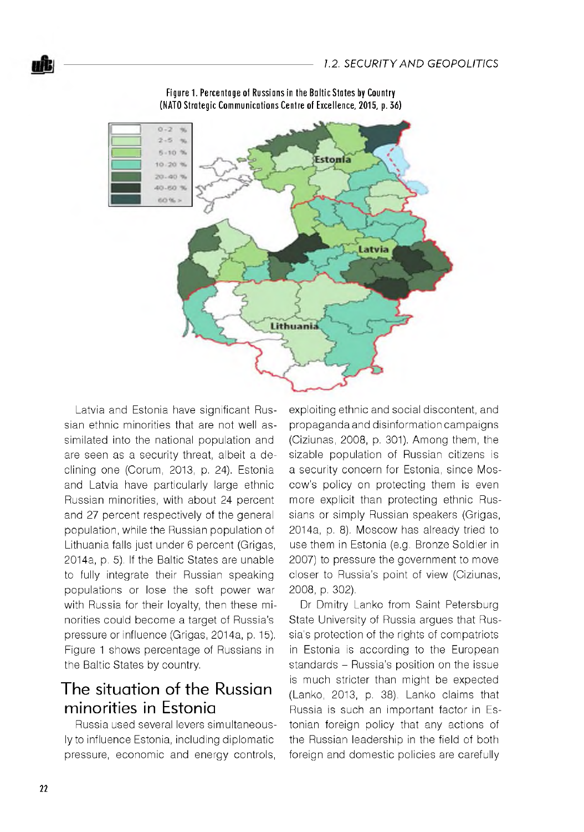

**Figure 1. Percentage of Russians in the Baltic States by Country** (NATO Strategic Communications Centre of Excellence, 2015, p. 36)

Latvia and Estonia have significant Russian ethnic minorities that are not well assimilated into the national population and are seen as a security threat, albeit a declining one (Corum, 2013, p. 24). Estonia and Latvia have particularly large ethnic Russian minorities, with about 24 percent and 27 percent respectively of the general population, while the Russian population of Lithuania falls just under 6 percent (Grigas, 2014a, p. 5). If the Baltic States are unable to fully integrate their Russian speaking populations or lose the soft power war with Russia for their loyalty, then these minorities could become a target of Russia's pressure or influence (Grigas, 2014a, p. 15). Figure 1 shows percentage of Russians in the Baltic States by country.

## The situation of the Russian minorities in Estonia

Russia used several levers simultaneously to influence Estonia, including diplomatic pressure, economic and energy controls,

exploiting ethnic and social discontent, and propaganda and disinformation campaigns (Ciziunas, 2008, p. 301). Among them, the sizable population of Russian citizens is a security concern for Estonia, since Moscow's policy on protecting them is even more explicit than protecting ethnic Russians or simply Russian speakers (Grigas, 2014a, p. 8). Moscow has already tried to use them in Estonia (e.g. Bronze Soldier in 2007) to pressure the government to move closer to Russia's point of view (Ciziunas, 2008, p. 302).

Dr Dmitry Lanko from Saint Petersburg State University of Russia argues that Russia's protection of the rights of compatriots in Estonia is according to the European standards - Russia's position on the issue is much stricter than might be expected (Lanko, 2013, p. 38). Lanko claims that Russia is such an important factor in Estonian foreign policy that any actions of the Russian leadership in the field of both foreign and domestic policies are carefully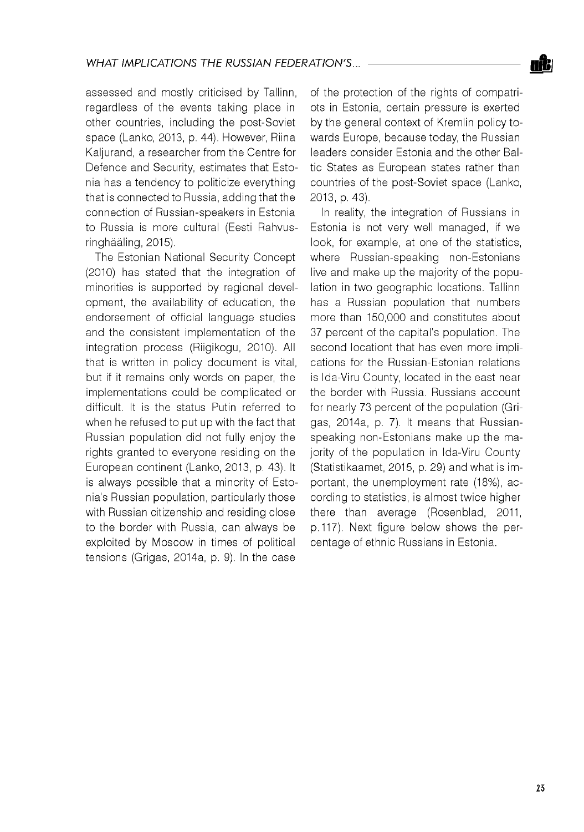

assessed and mostly criticised by Tallinn, regardless of the events taking place in other countries, including the post-Soviet space (Lanko, 2013, p. 44). However, Riina Kaljurand, a researcher from the Centre for Defence and Security, estimates that Estonia has a tendency to politicize everything that is connected to Russia, adding that the connection of Russian-speakers in Estonia to Russia is more cultural (Eesti Rahvusringhààling, 2015).

The Estonian National Security Concept (2010) has stated that the integration of minorities is supported by regional development, the availability of education, the endorsement of official language studies and the consistent implementation of the integration process (Riigikogu, 2010). All that is written in policy document is vital, but if it remains only words on paper, the implementations could be complicated or difficult. It is the status Putin referred to when he refused to put up with the fact that Russian population did not fully enjoy the rights granted to everyone residing on the European continent (Lanko, 2013, p. 43). It is always possible that a minority of Estonia's Russian population, particularly those with Russian citizenship and residing close to the border with Russia, can always be exploited by Moscow in times of political tensions (Grigas, 2014a, p. 9). In the case

of the protection of the rights of compatriots in Estonia, certain pressure is exerted by the general context of Kremlin policy towards Europe, because today, the Russian leaders consider Estonia and the other Baltic States as European states rather than countries of the post-Soviet space (Lanko, 2013, p. 43).

In reality, the integration of Russians in Estonia is not very well managed, if we look, for example, at one of the statistics, where Russian-speaking non-Estonians live and make up the majority of the population in two geographic locations. Tallinn has a Russian population that numbers more than 150,000 and constitutes about 37 percent of the capital's population. The second locationt that has even more implications for the Russian-Estonian relations is Ida-Viru County, located in the east near the border with Russia. Russians account for nearly 73 percent of the population (Grigas, 2014a, p. 7). It means that Russianspeaking non-Estonians make up the majority of the population in Ida-Viru County (Statistikaamet, 2015, p. 29) and what is important, the unemployment rate (18%), according to statistics, is almost twice higher there than average (Rosenblad, 2011, p. 117). Next figure below shows the percentage of ethnic Russians in Estonia.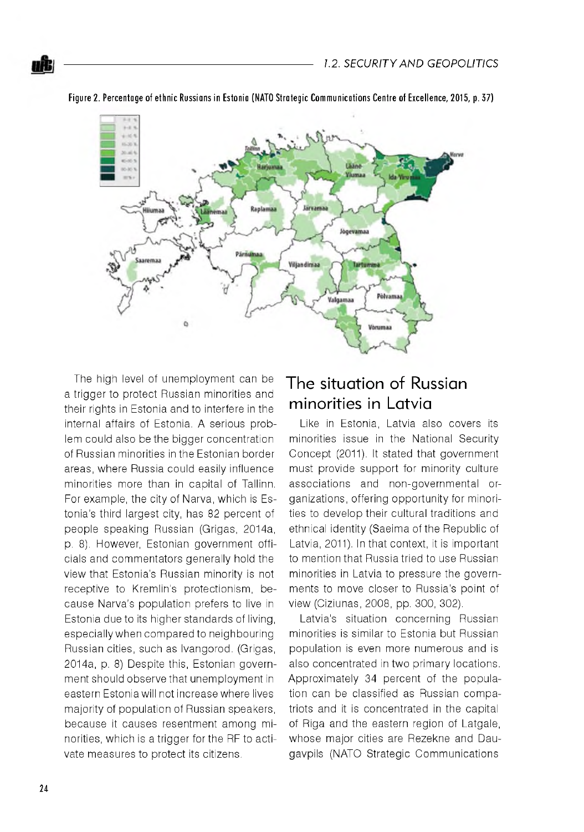

Figure 2. Percentage of ethnic Russians in Estonia (NATO Strategic Communications Centre of Excellence, 2015, p. 37)

The high level of unemployment can be a trigger to protect Russian minorities and their rights in Estonia and to interfere in the internal affairs of Estonia. A serious problem could also be the bigger concentration of Russian minorities in the Estonian border areas, where Russia could easily influence minorities more than in capital of Tallinn. For example, the city of Narva, which is Estonia's third largest city, has 82 percent of people speaking Russian (Grigas, 2014a, p. 8). However, Estonian government officials and commentators generally hold the view that Estonia's Russian minority is not receptive to Kremlin's protectionism, because Narva's population prefers to live in Estonia due to its higher standards of living, especially when compared to neighbouring Russian cities, such as Ivangorod. (Grigas, 2014a, p. 8) Despite this, Estonian government should observe that unemployment in eastern Estonia will not increase where lives majority of population of Russian speakers, because it causes resentment among minorities, which is a trigger for the RF to activate measures to protect its citizens.

## The situation of Russian minorities in Latvia

Like in Estonia, Latvia also covers its minorities issue in the National Security Concept (2011). It stated that government must provide support for minority culture associations and non-governmental organizations, offering opportunity for minorities to develop their cultural traditions and ethnical identity (Saeima of the Republic of Latvia, 2011). In that context, it is important to mention that Russia tried to use Russian minorities in Latvia to pressure the governments to move closer to Russia's point of view (Ciziunas, 2008, pp. 300, 302).

Latvia's situation concerning Russian minorities is similar to Estonia but Russian population is even more numerous and is also concentrated in two primary locations. Approximately 34 percent of the population can be classified as Russian compatriots and it is concentrated in the capital of Riga and the eastern region of Latgale, whose major cities are Rezekne and Daugavpils (NATO Strategic Communications

wit: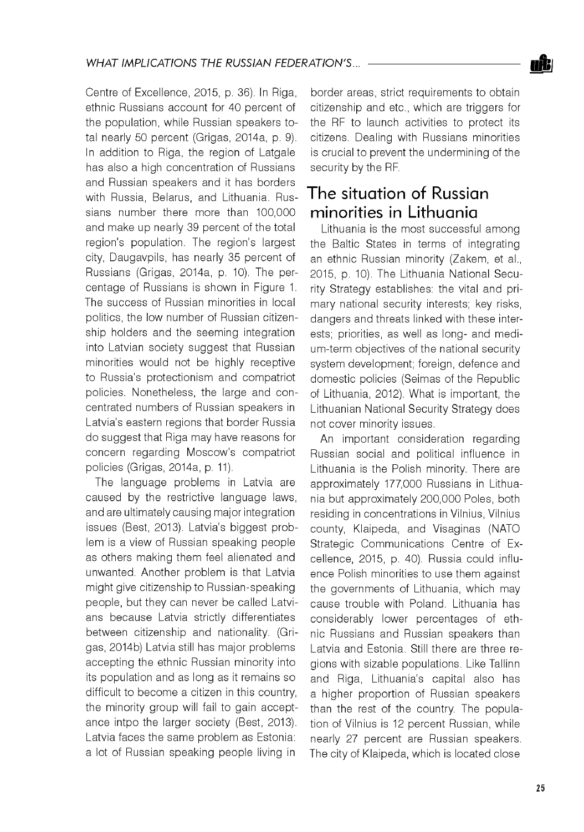Centre of Excellence, 2015, p. 36). In Riga, ethnic Russians account for 40 percent of the population, while Russian speakers total nearly 50 percent (Grigas, 2014a, p. 9). In addition to Riga, the region of Latgale has also a high concentration of Russians and Russian speakers and it has borders with Russia, Belarus, and Lithuania. Russians number there more than 100,000 and make up nearly 39 percent of the total region's population. The region's largest city, Daugavpils, has nearly 35 percent of Russians (Grigas, 2014a, p. 10). The percentage of Russians is shown in Figure 1. The success of Russian minorities in local politics, the low number of Russian citizenship holders and the seeming integration into Latvian society suggest that Russian minorities would not be highly receptive to Russia's protectionism and compatriot policies. Nonetheless, the large and concentrated numbers of Russian speakers in Latvia's eastern regions that border Russia do suggest that Riga may have reasons for concern regarding Moscow's compatriot policies (Grigas, 2014a, p. 11).

The language problems in Latvia are caused by the restrictive language laws, and are ultimately causing major integration issues (Best, 2013). Latvia's biggest problem is a view of Russian speaking people as others making them feel alienated and unwanted. Another problem is that Latvia might give citizenship to Russian-speaking people, but they can never be called Latvians because Latvia strictly differentiates between citizenship and nationality. (Grigas, 2014b) Latvia still has major problems accepting the ethnic Russian minority into its population and as long as it remains so difficult to become a citizen in this country, the minority group will fail to gain acceptance intpo the larger society (Best, 2013). Latvia faces the same problem as Estonia: a lot of Russian speaking people living in

border areas, strict requirements to obtain citizenship and etc., which are triggers for the RF to launch activities to protect its citizens. Dealing with Russians minorities is crucial to prevent the undermining of the security by the RF.

## The situation of Russian minorities in Lithuania

Lithuania is the most successful among the Baltic States in terms of integrating an ethnic Russian minority (Zakem, et al., 2015, p. 10). The Lithuania National Security Strategy establishes: the vital and primary national security interests; key risks, dangers and threats linked with these interests; priorities, as well as long- and medium-term objectives of the national security system development; foreign, defence and domestic policies (Seimas of the Republic of Lithuania, 2012). What is important, the Lithuanian National Security Strategy does not cover minority issues.

An important consideration regarding Russian social and political influence in Lithuania is the Polish minority. There are approximately 177,000 Russians in Lithuania but approximately 200,000 Poles, both residing in concentrations in Vilnius, Vilnius county, Klaipeda, and Visaginas (NATO Strategic Communications Centre of Excellence, 2015, p. 40). Russia could influence Polish minorities to use them against the governments of Lithuania, which may cause trouble with Poland. Lithuania has considerably lower percentages of ethnic Russians and Russian speakers than Latvia and Estonia. Still there are three regions with sizable populations. Like Tallinn and Riga, Lithuania's capital also has a higher proportion of Russian speakers than the rest of the country. The population of Vilnius is 12 percent Russian, while nearly 27 percent are Russian speakers. The city of Klaipeda, which is located close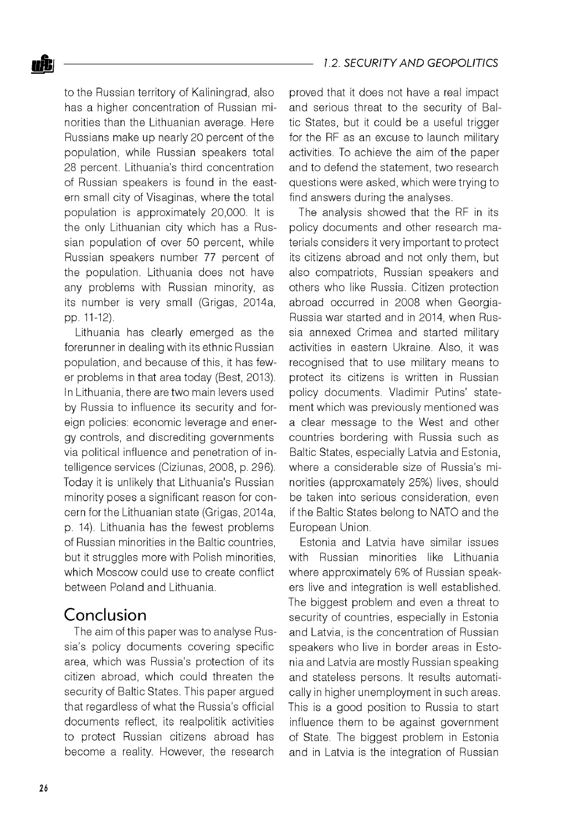

to the Russian territory of Kaliningrad, also has a higher concentration of Russian minorities than the Lithuanian average. Here Russians make up nearly 20 percent of the population, while Russian speakers total 28 percent. Lithuania's third concentration of Russian speakers is found in the eastern small city of Visaginas, where the total population is approximately 20,000. It is the only Lithuanian city which has a Russian population of over 50 percent, while Russian speakers number 77 percent of the population. Lithuania does not have any problems with Russian minority, as its number is very small (Grigas, 2014a, pp. 11-12).

Lithuania has clearly emerged as the forerunner in dealing with its ethnic Russian population, and because of this, it has fewer problems in that area today (Best, 2013). In Lithuania, there are two main levers used by Russia to influence its security and foreign policies: economic leverage and energy controls, and discrediting governments via political influence and penetration of intelligence services (Ciziunas, 2008, p. 296). Today it is unlikely that Lithuania's Russian minority poses a significant reason for concern for the Lithuanian state (Grigas, 2014a, p. 14). Lithuania has the fewest problems of Russian minorities in the Baltic countries, but it struggles more with Polish minorities, which Moscow could use to create conflict between Poland and Lithuania.

#### Conclusion

The aim of this paper was to analyse Russia's policy documents covering specific area, which was Russia's protection of its citizen abroad, which could threaten the security of Baltic States. This paper argued that regardless of what the Russia's official documents reflect, its realpolitik activities to protect Russian citizens abroad has become a reality. However, the research

proved that it does not have a real impact and serious threat to the security of Baltic States, but it could be a useful trigger for the RF as an excuse to launch military activities. To achieve the aim of the paper and to defend the statement, two research questions were asked, which were trying to find answers during the analyses.

The analysis showed that the RF in its policy documents and other research materials considers it very important to protect its citizens abroad and not only them, but also compatriots, Russian speakers and others who like Russia. Citizen protection abroad occurred in 2008 when Georgia-Russia war started and in 2014, when Russia annexed Crimea and started military activities in eastern Ukraine. Also, it was recognised that to use military means to protect its citizens is written in Russian policy documents. Vladimir Putins' statement which was previously mentioned was a clear message to the West and other countries bordering with Russia such as Baltic States, especially Latvia and Estonia, where a considerable size of Russia's minorities (approxamately 25%) lives, should be taken into serious consideration, even if the Baltic States belong to NATO and the European Union.

Estonia and Latvia have similar issues with Russian minorities like Lithuania where approximately 6% of Russian speakers live and integration is well established. The biggest problem and even a threat to security of countries, especially in Estonia and Latvia, is the concentration of Russian speakers who live in border areas in Estonia and Latvia are mostly Russian speaking and stateless persons. It results automatically in higher unemployment in such areas. This is a good position to Russia to start influence them to be against government of State. The biggest problem in Estonia and in Latvia is the integration of Russian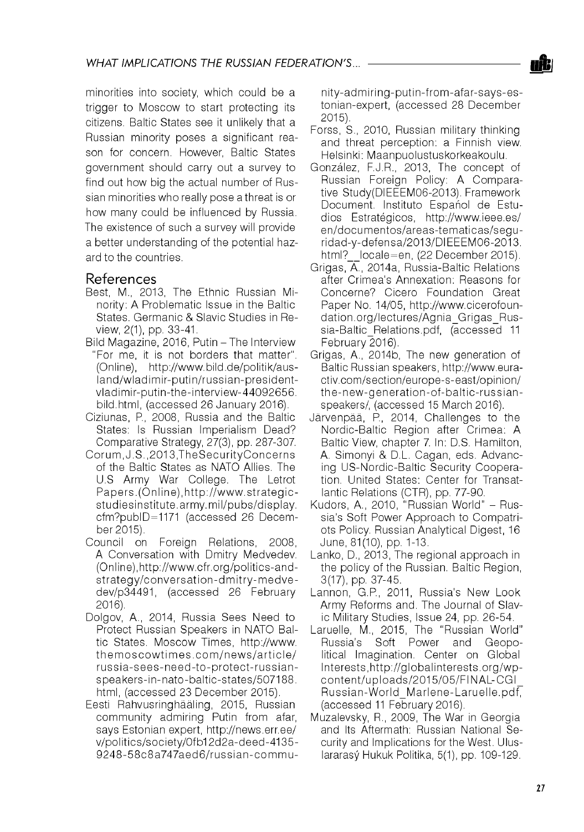

#### References

- Best, M., 2013, The Ethnic Russian Minority: A Problematic Issue in the Baltic States. Germanic & Slavic Studies in Review, 2(1), pp. 33-41.
- Bild Magazine, 2016, Putin The Interview "For me, it is not borders that matter". (Online), [http://www.bild.de/politik/aus](http://www.bild.de/politik/aus-)land/w ladimir-putin/russian-presidentvladimir-putin-the-interview-44092656. bild.html, (accessed 26 January 2016).
- Ciziunas, P., 2008, Russia and the Baltic States: Is Russian Imperialism Dead? Comparative Strategy, 27(3), pp. 287-307.
- C orum ,J.S.,2013,TheSecurityC oncerns of the Baltic States as NATO Allies. The U.S Army War College. The Letrot Papers.(Online),http://www.strategicstudiesinstitute.army.mil/pubs/display. cfm?pubID=1171 (accessed 26 December 2015).
- Council on Foreign Relations, 2008, A Conversation with Dmitry Medvedev. (Online),[http://www.cfr.org/politics-and](http://www.cfr.org/politics-and-)strategy/conversation-dmitry-medvedev/p34491, (accessed 26 February 2016).
- Dolgov, A., 2014, Russia Sees Need to Protect Russian Speakers in NATO Baltic States. Moscow Times, [http://www.](http://www) the moscow times.com/news/article/ russia-sees-need-to-protect-russianspeakers-in-nato-baltic-states/507188. html, (accessed 23 December 2015).
- Eesti Rahvusringhaaling, 2015, Russian community admiring Putin from afar, says Estonian expert, <http://news.err.ee/> v/politics/society/0fb12d2a-deed-4135- 9248-58c8a747aed6/russian-commu-

nity-adm iring-putin-from -afar-says-estonian-expert, (accessed 28 December 2015).

- Forss, S., 2010, Russian military thinking and threat perception: a Finnish view. Helsinki: Maanpuolustuskorkeakoulu.
- González, F.J.R., 2013, The concept of Russian Foreign Policy: A Comparative Study(DIEEEM06-2013). Framework Document. Instituto Español de Estudios Estratégicos, <http://www.ieee.es/> en/documentos/areas-tematicas/seguridad-y-defensa/2013/DIEEEM06-2013. html? locale=en, (22 December 2015).
- Grigas, A., 2014a, Russia-Baltic Relations after Crimea's Annexation: Reasons for Concerne? Cicero Foundation Great Paper No. 14/05, [http://www.cicerofoun](http://www.cicerofoun-)dation.org/lectures/Agnia\_Grigas\_Russia-Baltic Relations.pdf, *(accessed 11* February 2016).
- Grigas, A., 2014b, The new generation of Baltic Russian speakers, [http://www.eura](http://www.eura-)ctiv.com/section/europe-s-east/opinion/ the-new -generation-of-baltic-russianspeakers/, (accessed 15 March 2016).
- Járvenpáá, P., 2014, Challenges to the Nordic-Baltic Region after Crimea: A Baltic View, chapter 7. In: D.S. Hamilton, A. Simonyi & D.L. Cagan, eds. Advancing US-Nordic-Baltic Security Cooperation. United States: Center for Transatlantic Relations (CTR), pp. 77-90.
- Kudors, A., 2010, "Russian World" Russia's Soft Power Approach to Compatriots Policy. Russian Analytical Digest, 16 June, 81(10), pp. 1-13.
- Lanko, D., 2013, The regional approach in the policy of the Russian. Baltic Region, 3(17), pp. 37-45.
- Lannon, G.P., 2011, Russia's New Look Army Reforms and. The Journal of Slavic Military Studies, Issue 24, pp. 26-54.
- Laruelle, M., 2015, The "Russian World" Russia's Soft Power and Geopolitical Imagination. Center on Global Interests, http://globalinterests.org/wpcontent/uploads/2015/05/FINAL-CGI Russian-World Marlene-Laruelle.pdf, (accessed 11 February 2016).
- Muzalevsky, R., 2009, The War in Georgia and Its Aftermath: Russian National Security and Implications for the West. Uluslararasy Hukuk Politika, 5(1), pp. 109-129.